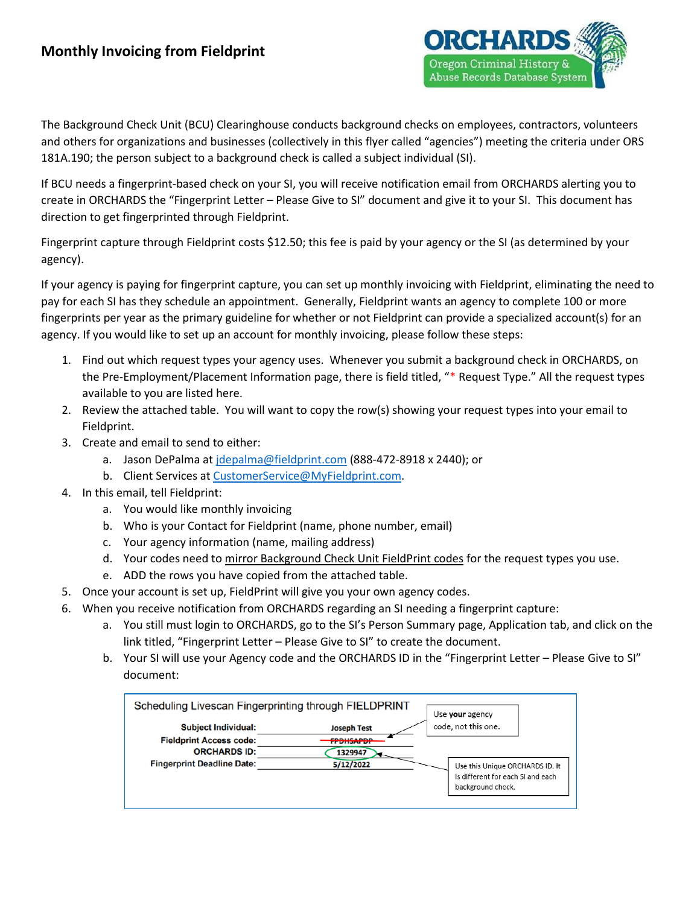

The Background Check Unit (BCU) Clearinghouse conducts background checks on employees, contractors, volunteers and others for organizations and businesses (collectively in this flyer called "agencies") meeting the criteria under ORS 181A.190; the person subject to a background check is called a subject individual (SI).

If BCU needs a fingerprint-based check on your SI, you will receive notification email from ORCHARDS alerting you to create in ORCHARDS the "Fingerprint Letter – Please Give to SI" document and give it to your SI. This document has direction to get fingerprinted through Fieldprint.

Fingerprint capture through Fieldprint costs \$12.50; this fee is paid by your agency or the SI (as determined by your agency).

If your agency is paying for fingerprint capture, you can set up monthly invoicing with Fieldprint, eliminating the need to pay for each SI has they schedule an appointment. Generally, Fieldprint wants an agency to complete 100 or more fingerprints per year as the primary guideline for whether or not Fieldprint can provide a specialized account(s) for an agency. If you would like to set up an account for monthly invoicing, please follow these steps:

- 1. Find out which request types your agency uses. Whenever you submit a background check in ORCHARDS, on the Pre-Employment/Placement Information page, there is field titled, "\* Request Type." All the request types available to you are listed here.
- 2. Review the attached table. You will want to copy the row(s) showing your request types into your email to Fieldprint.
- 3. Create and email to send to either:
	- a. Jason DePalma at idepalma@fieldprint.com (888-472-8918 x 2440); or
	- b. Client Services a[t CustomerService@MyFieldprint.com.](mailto:CustomerService@MyFieldprint.com)
- 4. In this email, tell Fieldprint:
	- a. You would like monthly invoicing
	- b. Who is your Contact for Fieldprint (name, phone number, email)
	- c. Your agency information (name, mailing address)
	- d. Your codes need to mirror Background Check Unit FieldPrint codes for the request types you use.
	- e. ADD the rows you have copied from the attached table.
- 5. Once your account is set up, FieldPrint will give you your own agency codes.
- 6. When you receive notification from ORCHARDS regarding an SI needing a fingerprint capture:
	- a. You still must login to ORCHARDS, go to the SI's Person Summary page, Application tab, and click on the link titled, "Fingerprint Letter – Please Give to SI" to create the document.
	- b. Your SI will use your Agency code and the ORCHARDS ID in the "Fingerprint Letter Please Give to SI" document: